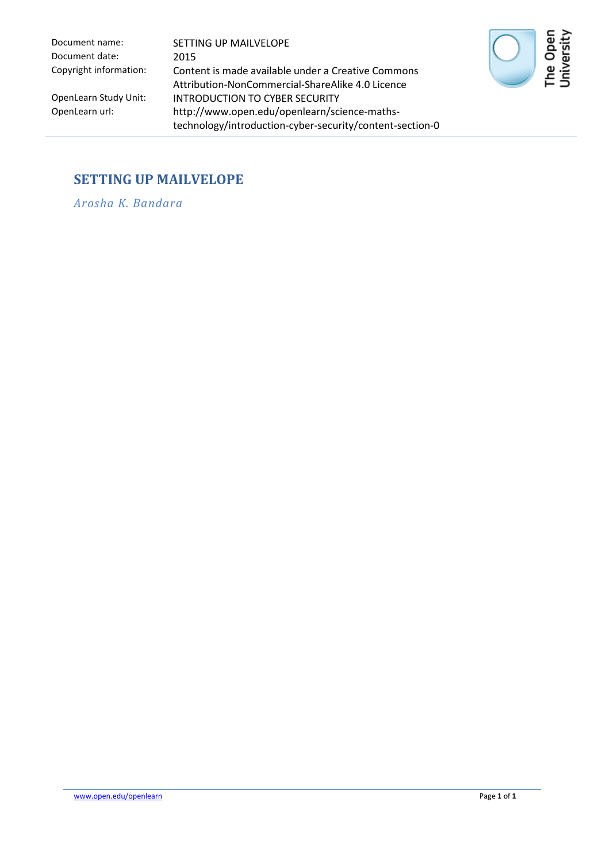Document date: 2015

Document name: SETTING UP MAILVELOPE Copyright information: Content is made available under a Creative Commons Attribution-NonCommercial-ShareAlike 4.0 Licence OpenLearn Study Unit: INTRODUCTION TO CYBER SECURITY<br>OpenLearn url: http://www.open.edu/openlearn/sci http://www.open.edu/openlearn/science-mathstechnology/introduction-cyber-security/content-section-0



#### **SETTING UP MAILVELOPE**

*Arosha K. Bandara*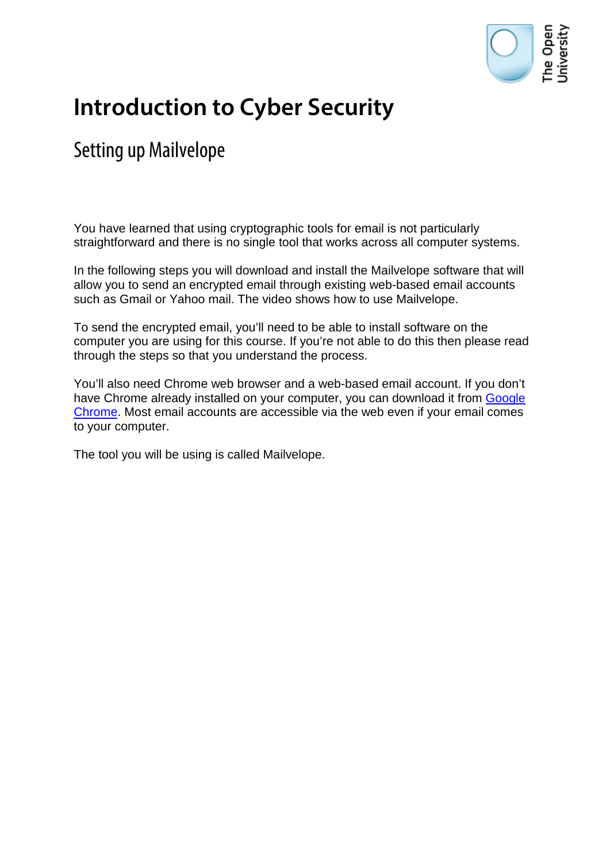

# **Introduction to Cyber Security**

## Setting up Mailvelope

You have learned that using cryptographic tools for email is not particularly straightforward and there is no single tool that works across all computer systems.

In the following steps you will download and install the Mailvelope software that will allow you to send an encrypted email through existing web-based email accounts such as Gmail or Yahoo mail. The video shows how to use Mailvelope.

To send the encrypted email, you'll need to be able to install software on the computer you are using for this course. If you're not able to do this then please read through the steps so that you understand the process.

You'll also need Chrome web browser and a web-based email account. If you don't have Chrome already installed on your computer, you can download it from Google [Chrome.](https://www.google.com/intl/en_uk/chrome/browser/) Most email accounts are accessible via the web even if your email comes to your computer.

The tool you will be using is called Mailvelope.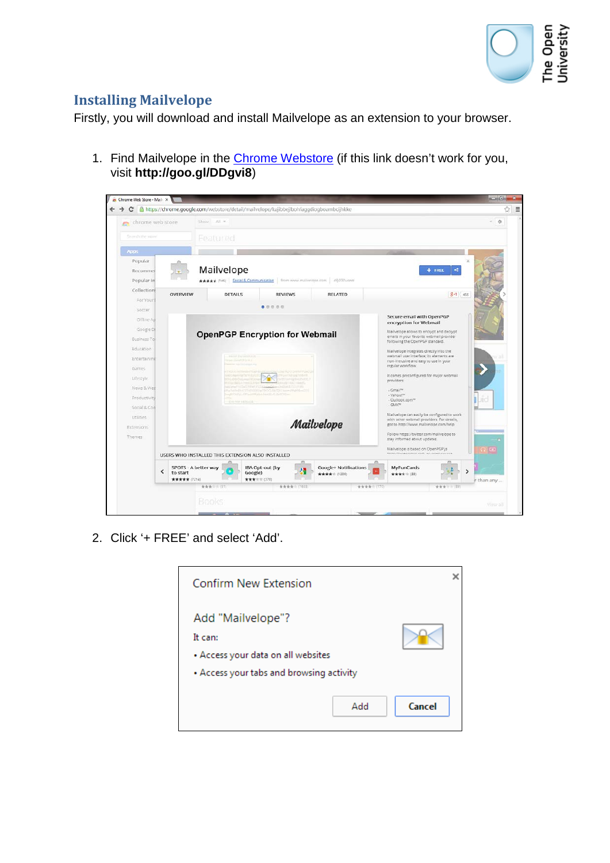

### **Installing Mailvelope**

Firstly, you will download and install Mailvelope as an extension to your browser.

1. Find Mailvelope in the [Chrome Webstore](http://goo.gl/DDgvi8) (if this link doesn't work for you, visit **http://goo.gl/DDgvi8**)

| chrome web store       |                                                                                            | Shows All =    |                                                                                          |                                                                                      |                                                                                           |                                                                                     | $-4$       |
|------------------------|--------------------------------------------------------------------------------------------|----------------|------------------------------------------------------------------------------------------|--------------------------------------------------------------------------------------|-------------------------------------------------------------------------------------------|-------------------------------------------------------------------------------------|------------|
| Search the stare       |                                                                                            | Featured       |                                                                                          |                                                                                      |                                                                                           |                                                                                     |            |
| Apps                   |                                                                                            |                |                                                                                          |                                                                                      |                                                                                           |                                                                                     |            |
| Popular                |                                                                                            | Mailvelope     |                                                                                          |                                                                                      |                                                                                           | a<br>$+$ FRLL                                                                       |            |
| Recommen<br>Popular in |                                                                                            |                | ★★★★★ (146) Social & Communication from www.mailvelope.com 49,070 users                  |                                                                                      |                                                                                           |                                                                                     |            |
| Collections            |                                                                                            |                |                                                                                          |                                                                                      |                                                                                           |                                                                                     |            |
| For Your               | OVERVIEW                                                                                   | <b>DETAILS</b> | <b>REVIEWS</b>                                                                           |                                                                                      | <b>RELATED</b>                                                                            | $8 - 1$ 455                                                                         |            |
| Soccer                 |                                                                                            |                | 00000                                                                                    |                                                                                      |                                                                                           |                                                                                     |            |
| Offline At             |                                                                                            |                |                                                                                          |                                                                                      |                                                                                           | Secure email with OpenPGP                                                           |            |
| Google D               |                                                                                            |                |                                                                                          | encryption for Webmail                                                               |                                                                                           |                                                                                     |            |
| Business Tol           |                                                                                            |                | <b>OpenPGP Encryption for Webmail</b>                                                    | Mailvelope allows to encrypt and decrypt<br>emails in your favorite webmail provider |                                                                                           |                                                                                     |            |
| Education              |                                                                                            |                |                                                                                          |                                                                                      |                                                                                           | following the OpenPGP standard.                                                     |            |
| Entertainme            |                                                                                            |                | <b>ELECTRICALLY</b><br><b>Time OpenFGP (FIRE)</b>                                        |                                                                                      |                                                                                           | Mailvelope integrates directly into the<br>webmail user interface; its elements are |            |
| <b>Garnes</b>          |                                                                                            |                |                                                                                          |                                                                                      |                                                                                           | non-intrusive and easy to use in your<br>regular workflow.                          |            |
| Lifestyle:             |                                                                                            |                | <b>CONTRACTOR</b><br>all show Frather Holly OT<br>Fiel school results in                 | <b>INCAVARIES</b> TOBATE<br>altillian agilm 25.42                                    |                                                                                           | It comes preconfigured for major webmail                                            |            |
| News & Wea             |                                                                                            |                | <b>COUNTRACTMENT</b><br>Alements Charles Charles Catholica e                             | <b>CLASS COLLEGE</b>                                                                 |                                                                                           | providers:<br>- Gmail <sup>ne</sup>                                                 |            |
| Productivity           |                                                                                            |                | FateRelistYTehIDRUaMPOCLEROCHI Rev={Phpf06=GII<br>my6736/pl rffTaxeWyHalsHellD-FLOck20mm |                                                                                      |                                                                                           | - Yanoo!""<br>- Outlook.com <sup>ter</sup>                                          | <b>JIC</b> |
| Social & Con           |                                                                                            |                | - Express such all e-                                                                    |                                                                                      |                                                                                           | $-$ GMX <sup><math>m</math></sup>                                                   |            |
| Utilities              |                                                                                            |                |                                                                                          |                                                                                      | Mailvelope can easily be configured to work<br>with other webmail providers. For details, |                                                                                     |            |
| <b>Extensions</b>      |                                                                                            |                |                                                                                          | Mailvelope                                                                           | got to http://www.mailvelope.com/help                                                     |                                                                                     |            |
| Themes                 |                                                                                            |                |                                                                                          |                                                                                      |                                                                                           | Follow https://twitter.com/mailvelope.to<br>stay informed about updates.            |            |
|                        |                                                                                            |                |                                                                                          | Mailvelope is based on OpenPGP.js                                                    | <b>Call</b>                                                                               |                                                                                     |            |
|                        | Intro-Unnannonic nort, an onan course<br>USERS WHO INSTALLED THIS EXTENSION ALSO INSTALLED |                |                                                                                          |                                                                                      |                                                                                           |                                                                                     |            |
| <                      | SPOTS - A better way<br>to start<br><b>女女女女女</b> (7214)                                    |                | IBA Opt-out (by<br>Google)<br><b>女女女</b> 士士 (370)                                        |                                                                                      | Google+ Notifications<br>***** (1209)                                                     | <b>MyFunCards</b><br>۰,<br>**** (33)                                                | r than any |
|                        |                                                                                            | 青青素 (51)       |                                                                                          | 青青青青 (1655)                                                                          | 青青青青 170                                                                                  | 青青青 195                                                                             |            |

2. Click '+ FREE' and select 'Add'.

| <b>Confirm New Extension</b>                                                                                   |        |
|----------------------------------------------------------------------------------------------------------------|--------|
| Add "Mailvelope"?<br>It can:<br>• Access your data on all websites<br>• Access your tabs and browsing activity |        |
| Add                                                                                                            | Cancel |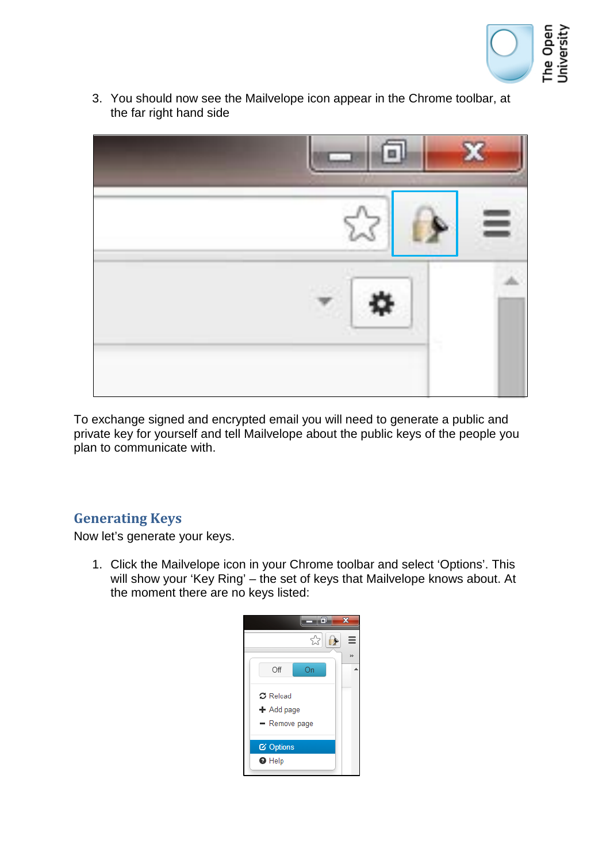

3. You should now see the Mailvelope icon appear in the Chrome toolbar, at the far right hand side



To exchange signed and encrypted email you will need to generate a public and private key for yourself and tell Mailvelope about the public keys of the people you plan to communicate with.

#### **Generating Keys**

Now let's generate your keys.

1. Click the Mailvelope icon in your Chrome toolbar and select 'Options'. This will show your 'Key Ring' – the set of keys that Mailvelope knows about. At the moment there are no keys listed:

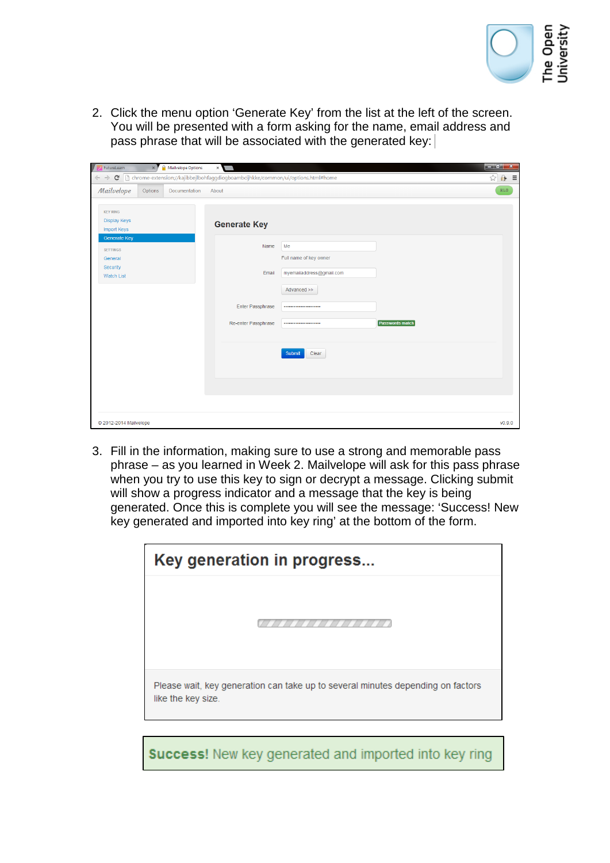

2. Click the menu option 'Generate Key' from the list at the left of the screen. You will be presented with a form asking for the name, email address and pass phrase that will be associated with the generated key:

| $\leftarrow$ -><br>$\mathbf{C}$                                                    |         |               | http://www.ciphonetar.com//kajibbejlbohfaggdiogboambcijhkke/common/ui/options.html#home |                                                          |                        | ☆ A ≡ |
|------------------------------------------------------------------------------------|---------|---------------|-----------------------------------------------------------------------------------------|----------------------------------------------------------|------------------------|-------|
| Mailvelope                                                                         | Options | Documentation | About                                                                                   |                                                          |                        | EL0   |
| <b>KEY RING</b><br><b>Display Keys</b><br>Import Keys                              |         |               | <b>Generate Key</b>                                                                     |                                                          |                        |       |
| <b>Generate Key</b><br><b>SETTINGS</b><br>General<br>Security<br><b>Watch List</b> |         |               | Name<br>Email                                                                           | Me<br>Full name of key owner<br>myemailaddress@gmail.com |                        |       |
|                                                                                    |         |               | Enter Passphrase<br>Re-enter Passphrase                                                 | Advanced >><br><br>                                      | <b>Passwords match</b> |       |
|                                                                                    |         |               |                                                                                         | Submit<br>Clear                                          |                        |       |
|                                                                                    |         |               |                                                                                         |                                                          |                        |       |

3. Fill in the information, making sure to use a strong and memorable pass phrase – as you learned in Week 2. Mailvelope will ask for this pass phrase when you try to use this key to sign or decrypt a message. Clicking submit will show a progress indicator and a message that the key is being generated. Once this is complete you will see the message: 'Success! New key generated and imported into key ring' at the bottom of the form.

| Key generation in progress                                                                            |
|-------------------------------------------------------------------------------------------------------|
|                                                                                                       |
| Please wait, key generation can take up to several minutes depending on factors<br>like the key size. |
| <b>Success!</b> New key generated and imported into key ring                                          |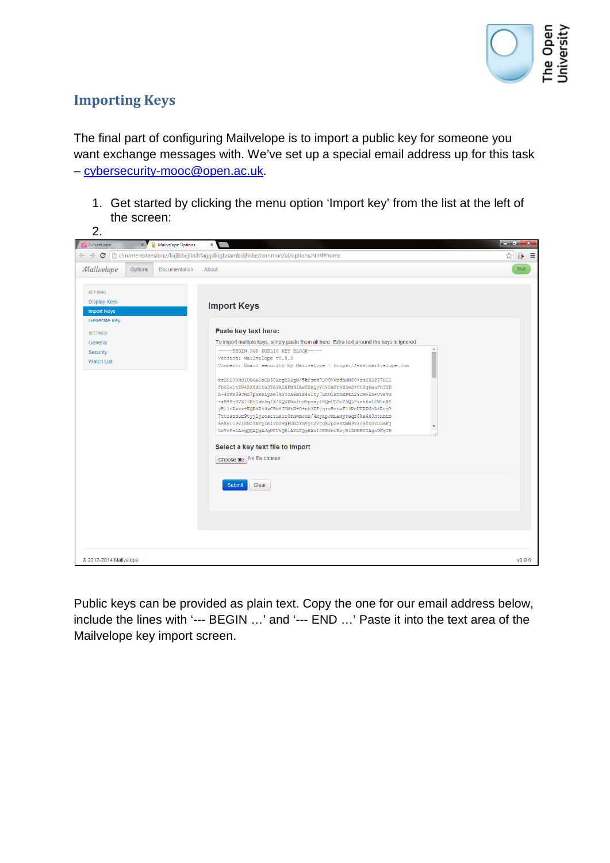

#### **Importing Keys**

The final part of configuring Mailvelope is to import a public key for someone you want exchange messages with. We've set up a special email address up for this task – [cybersecurity-mooc@open.ac.uk.](mailto:cybersecurity-mooc@open.ac.uk)

1. Get started by clicking the menu option 'Import key' from the list at the left of the screen:



Public keys can be provided as plain text. Copy the one for our email address below, include the lines with '--- BEGIN …' and '--- END …' Paste it into the text area of the Mailvelope key import screen.